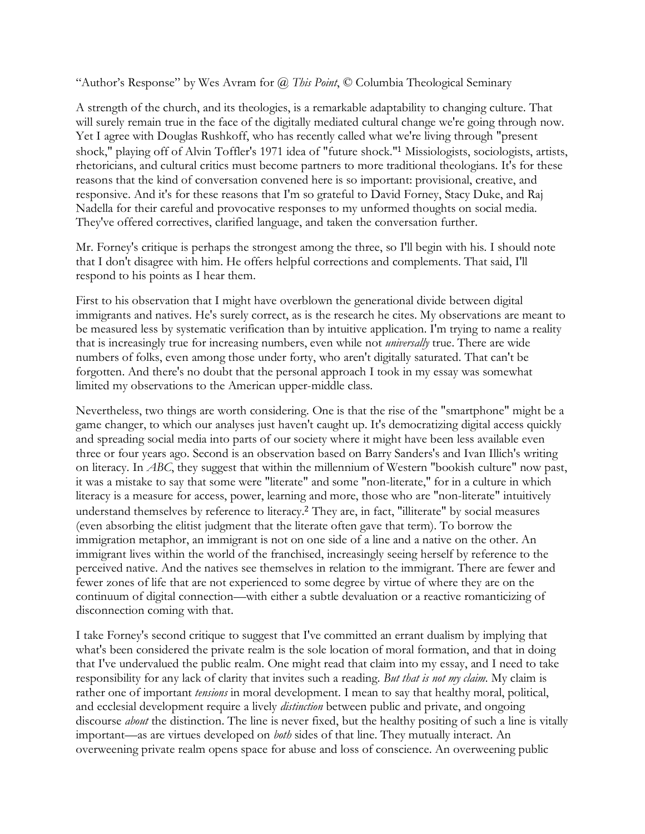"Author's Response" by Wes Avram for *@ This Point*, © Columbia Theological Seminary

A strength of the church, and its theologies, is a remarkable adaptability to changing culture. That will surely remain true in the face of the digitally mediated cultural change we're going through now. Yet I agree with Douglas Rushkoff, who has recently called what we're living through "present shock," playing off of Alvin Toffler's 1971 idea of "future shock."<sup>1</sup> Missiologists, sociologists, artists, rhetoricians, and cultural critics must become partners to more traditional theologians. It's for these reasons that the kind of conversation convened here is so important: provisional, creative, and responsive. And it's for these reasons that I'm so grateful to David Forney, Stacy Duke, and Raj Nadella for their careful and provocative responses to my unformed thoughts on social media. They've offered correctives, clarified language, and taken the conversation further.

Mr. Forney's critique is perhaps the strongest among the three, so I'll begin with his. I should note that I don't disagree with him. He offers helpful corrections and complements. That said, I'll respond to his points as I hear them.

First to his observation that I might have overblown the generational divide between digital immigrants and natives. He's surely correct, as is the research he cites. My observations are meant to be measured less by systematic verification than by intuitive application. I'm trying to name a reality that is increasingly true for increasing numbers, even while not *universally* true. There are wide numbers of folks, even among those under forty, who aren't digitally saturated. That can't be forgotten. And there's no doubt that the personal approach I took in my essay was somewhat limited my observations to the American upper-middle class.

Nevertheless, two things are worth considering. One is that the rise of the "smartphone" might be a game changer, to which our analyses just haven't caught up. It's democratizing digital access quickly and spreading social media into parts of our society where it might have been less available even three or four years ago. Second is an observation based on Barry Sanders's and Ivan Illich's writing on literacy. In *ABC*, they suggest that within the millennium of Western "bookish culture" now past, it was a mistake to say that some were "literate" and some "non-literate," for in a culture in which literacy is a measure for access, power, learning and more, those who are "non-literate" intuitively understand themselves by reference to literacy.<sup>2</sup> They are, in fact, "illiterate" by social measures (even absorbing the elitist judgment that the literate often gave that term). To borrow the immigration metaphor, an immigrant is not on one side of a line and a native on the other. An immigrant lives within the world of the franchised, increasingly seeing herself by reference to the perceived native. And the natives see themselves in relation to the immigrant. There are fewer and fewer zones of life that are not experienced to some degree by virtue of where they are on the continuum of digital connection—with either a subtle devaluation or a reactive romanticizing of disconnection coming with that.

I take Forney's second critique to suggest that I've committed an errant dualism by implying that what's been considered the private realm is the sole location of moral formation, and that in doing that I've undervalued the public realm. One might read that claim into my essay, and I need to take responsibility for any lack of clarity that invites such a reading. *But that is not my claim*. My claim is rather one of important *tensions* in moral development. I mean to say that healthy moral, political, and ecclesial development require a lively *distinction* between public and private, and ongoing discourse *about* the distinction. The line is never fixed, but the healthy positing of such a line is vitally important—as are virtues developed on *both* sides of that line. They mutually interact. An overweening private realm opens space for abuse and loss of conscience. An overweening public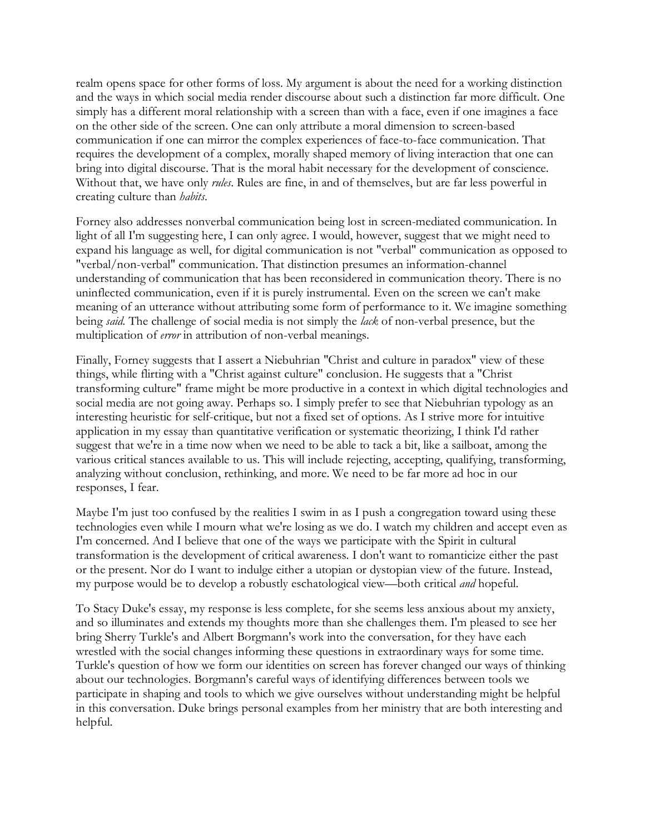realm opens space for other forms of loss. My argument is about the need for a working distinction and the ways in which social media render discourse about such a distinction far more difficult. One simply has a different moral relationship with a screen than with a face, even if one imagines a face on the other side of the screen. One can only attribute a moral dimension to screen-based communication if one can mirror the complex experiences of face-to-face communication. That requires the development of a complex, morally shaped memory of living interaction that one can bring into digital discourse. That is the moral habit necessary for the development of conscience. Without that, we have only *rules*. Rules are fine, in and of themselves, but are far less powerful in creating culture than *habits*.

Forney also addresses nonverbal communication being lost in screen-mediated communication. In light of all I'm suggesting here, I can only agree. I would, however, suggest that we might need to expand his language as well, for digital communication is not "verbal" communication as opposed to "verbal/non-verbal" communication. That distinction presumes an information-channel understanding of communication that has been reconsidered in communication theory. There is no uninflected communication, even if it is purely instrumental. Even on the screen we can't make meaning of an utterance without attributing some form of performance to it. We imagine something being *said*. The challenge of social media is not simply the *lack* of non-verbal presence, but the multiplication of *error* in attribution of non-verbal meanings.

Finally, Forney suggests that I assert a Niebuhrian "Christ and culture in paradox" view of these things, while flirting with a "Christ against culture" conclusion. He suggests that a "Christ transforming culture" frame might be more productive in a context in which digital technologies and social media are not going away. Perhaps so. I simply prefer to see that Niebuhrian typology as an interesting heuristic for self-critique, but not a fixed set of options. As I strive more for intuitive application in my essay than quantitative verification or systematic theorizing, I think I'd rather suggest that we're in a time now when we need to be able to tack a bit, like a sailboat, among the various critical stances available to us. This will include rejecting, accepting, qualifying, transforming, analyzing without conclusion, rethinking, and more. We need to be far more ad hoc in our responses, I fear.

Maybe I'm just too confused by the realities I swim in as I push a congregation toward using these technologies even while I mourn what we're losing as we do. I watch my children and accept even as I'm concerned. And I believe that one of the ways we participate with the Spirit in cultural transformation is the development of critical awareness. I don't want to romanticize either the past or the present. Nor do I want to indulge either a utopian or dystopian view of the future. Instead, my purpose would be to develop a robustly eschatological view—both critical *and* hopeful.

To Stacy Duke's essay, my response is less complete, for she seems less anxious about my anxiety, and so illuminates and extends my thoughts more than she challenges them. I'm pleased to see her bring Sherry Turkle's and Albert Borgmann's work into the conversation, for they have each wrestled with the social changes informing these questions in extraordinary ways for some time. Turkle's question of how we form our identities on screen has forever changed our ways of thinking about our technologies. Borgmann's careful ways of identifying differences between tools we participate in shaping and tools to which we give ourselves without understanding might be helpful in this conversation. Duke brings personal examples from her ministry that are both interesting and helpful.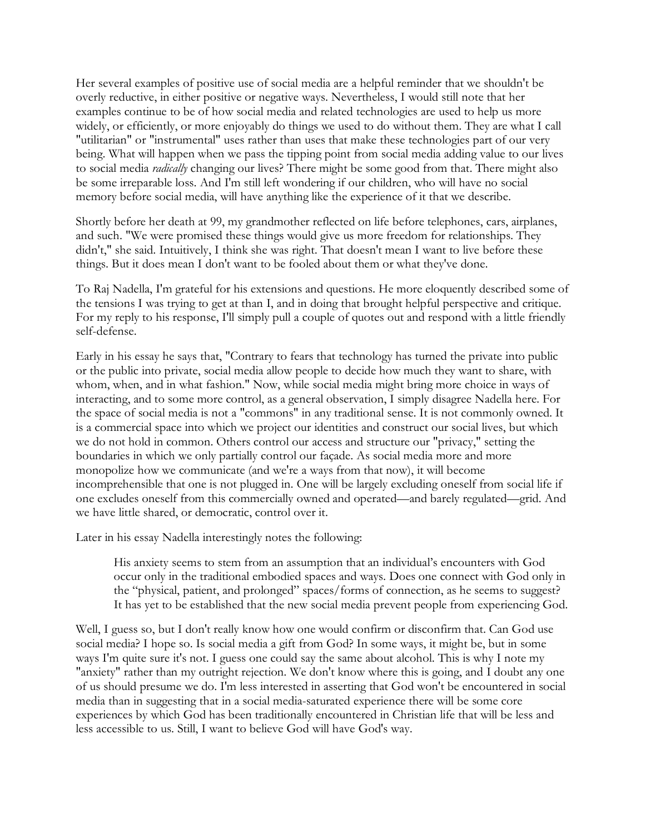Her several examples of positive use of social media are a helpful reminder that we shouldn't be overly reductive, in either positive or negative ways. Nevertheless, I would still note that her examples continue to be of how social media and related technologies are used to help us more widely, or efficiently, or more enjoyably do things we used to do without them. They are what I call "utilitarian" or "instrumental" uses rather than uses that make these technologies part of our very being. What will happen when we pass the tipping point from social media adding value to our lives to social media *radically* changing our lives? There might be some good from that. There might also be some irreparable loss. And I'm still left wondering if our children, who will have no social memory before social media, will have anything like the experience of it that we describe.

Shortly before her death at 99, my grandmother reflected on life before telephones, cars, airplanes, and such. "We were promised these things would give us more freedom for relationships. They didn't," she said. Intuitively, I think she was right. That doesn't mean I want to live before these things. But it does mean I don't want to be fooled about them or what they've done.

To Raj Nadella, I'm grateful for his extensions and questions. He more eloquently described some of the tensions I was trying to get at than I, and in doing that brought helpful perspective and critique. For my reply to his response, I'll simply pull a couple of quotes out and respond with a little friendly self-defense.

Early in his essay he says that, "Contrary to fears that technology has turned the private into public or the public into private, social media allow people to decide how much they want to share, with whom, when, and in what fashion." Now, while social media might bring more choice in ways of interacting, and to some more control, as a general observation, I simply disagree Nadella here. For the space of social media is not a "commons" in any traditional sense. It is not commonly owned. It is a commercial space into which we project our identities and construct our social lives, but which we do not hold in common. Others control our access and structure our "privacy," setting the boundaries in which we only partially control our façade. As social media more and more monopolize how we communicate (and we're a ways from that now), it will become incomprehensible that one is not plugged in. One will be largely excluding oneself from social life if one excludes oneself from this commercially owned and operated—and barely regulated—grid. And we have little shared, or democratic, control over it.

Later in his essay Nadella interestingly notes the following:

His anxiety seems to stem from an assumption that an individual's encounters with God occur only in the traditional embodied spaces and ways. Does one connect with God only in the "physical, patient, and prolonged" spaces/forms of connection, as he seems to suggest? It has yet to be established that the new social media prevent people from experiencing God.

Well, I guess so, but I don't really know how one would confirm or disconfirm that. Can God use social media? I hope so. Is social media a gift from God? In some ways, it might be, but in some ways I'm quite sure it's not. I guess one could say the same about alcohol. This is why I note my "anxiety" rather than my outright rejection. We don't know where this is going, and I doubt any one of us should presume we do. I'm less interested in asserting that God won't be encountered in social media than in suggesting that in a social media-saturated experience there will be some core experiences by which God has been traditionally encountered in Christian life that will be less and less accessible to us. Still, I want to believe God will have God's way.